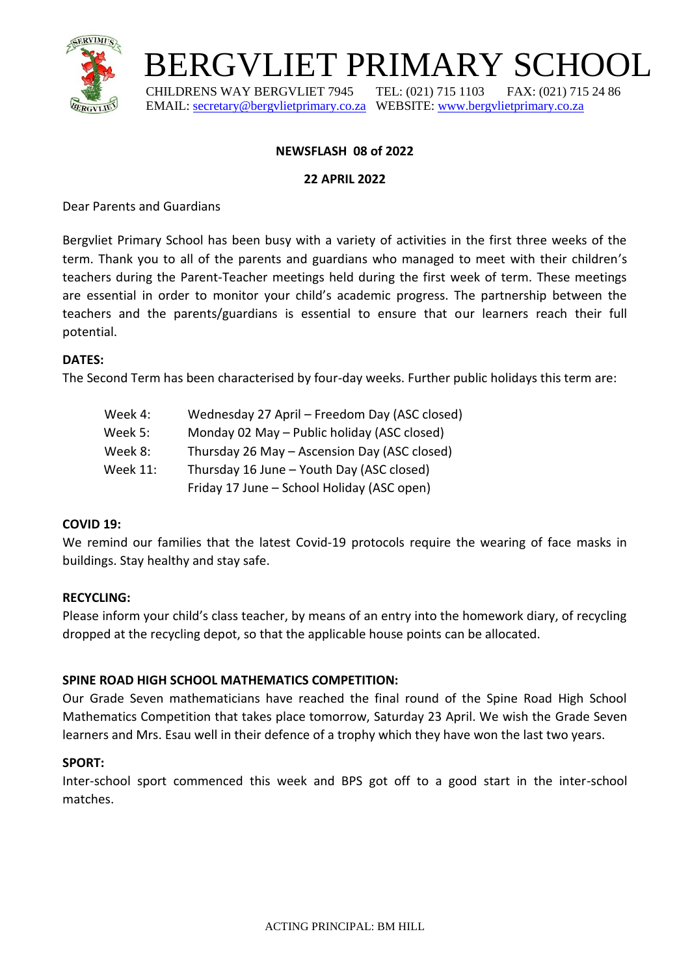

# BERGVLIET PRIMARY SCHOOL

 CHILDRENS WAY BERGVLIET 7945 TEL: (021) 715 1103 FAX: (021) 715 24 86 EMAIL: [secretary@bergvlietprimary.co.za](mailto:secretary@bergvlietprimary.co.za) WEBSITE[: www.bergvlietprimary.co.za](http://www.bergvlietprimary.co.za/)

# **NEWSFLASH 08 of 2022**

#### **22 APRIL 2022**

Dear Parents and Guardians

Bergvliet Primary School has been busy with a variety of activities in the first three weeks of the term. Thank you to all of the parents and guardians who managed to meet with their children's teachers during the Parent-Teacher meetings held during the first week of term. These meetings are essential in order to monitor your child's academic progress. The partnership between the teachers and the parents/guardians is essential to ensure that our learners reach their full potential.

## **DATES:**

The Second Term has been characterised by four-day weeks. Further public holidays this term are:

| Week 4:         | Wednesday 27 April – Freedom Day (ASC closed) |
|-----------------|-----------------------------------------------|
| Week 5:         | Monday 02 May - Public holiday (ASC closed)   |
| Week 8:         | Thursday 26 May - Ascension Day (ASC closed)  |
| <b>Week 11:</b> | Thursday 16 June - Youth Day (ASC closed)     |
|                 | Friday 17 June - School Holiday (ASC open)    |

## **COVID 19:**

We remind our families that the latest Covid-19 protocols require the wearing of face masks in buildings. Stay healthy and stay safe.

## **RECYCLING:**

Please inform your child's class teacher, by means of an entry into the homework diary, of recycling dropped at the recycling depot, so that the applicable house points can be allocated.

# **SPINE ROAD HIGH SCHOOL MATHEMATICS COMPETITION:**

Our Grade Seven mathematicians have reached the final round of the Spine Road High School Mathematics Competition that takes place tomorrow, Saturday 23 April. We wish the Grade Seven learners and Mrs. Esau well in their defence of a trophy which they have won the last two years.

## **SPORT:**

Inter-school sport commenced this week and BPS got off to a good start in the inter-school matches.